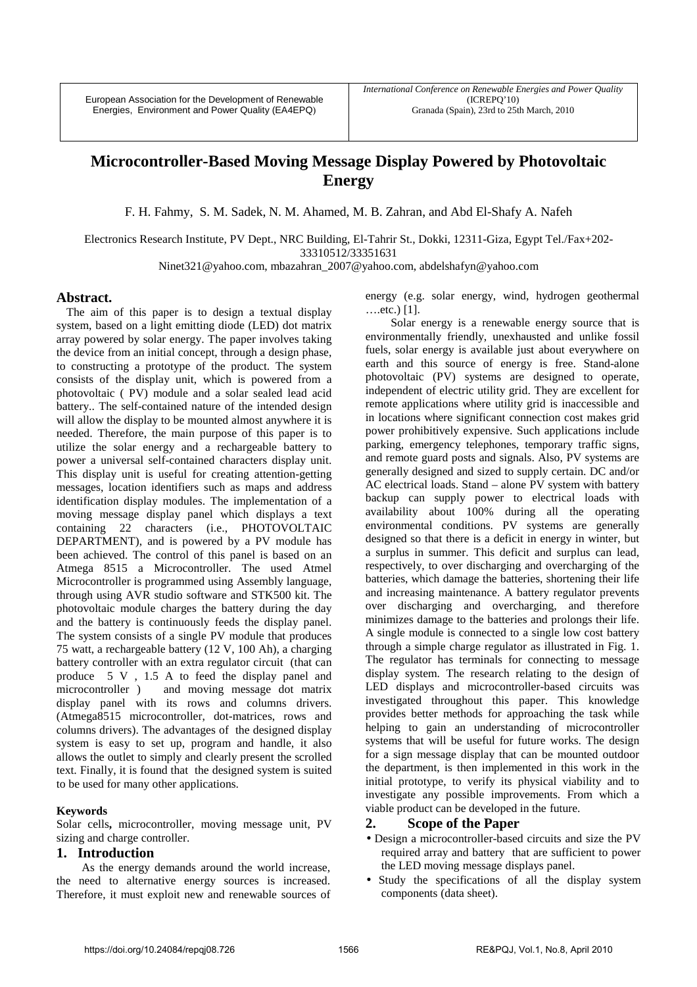European Association for the Development of Renewable Energies, Environment and Power Quality (EA4EPQ)

# **Microcontroller-Based Moving Message Display Powered by Photovoltaic Energy**

F. H. Fahmy, S. M. Sadek, N. M. Ahamed, M. B. Zahran, and Abd El-Shafy A. Nafeh

Electronics Research Institute, PV Dept., NRC Building, El-Tahrir St., Dokki, 12311-Giza, Egypt Tel./Fax+202- 33310512/33351631

Ninet321@yahoo.com, mbazahran\_2007@yahoo.com, abdelshafyn@yahoo.com

#### **Abstract.**

The aim of this paper is to design a textual display system, based on a light emitting diode (LED) dot matrix array powered by solar energy. The paper involves taking the device from an initial concept, through a design phase, to constructing a prototype of the product. The system consists of the display unit, which is powered from a photovoltaic ( PV) module and a solar sealed lead acid battery.. The self-contained nature of the intended design will allow the display to be mounted almost anywhere it is needed. Therefore, the main purpose of this paper is to utilize the solar energy and a rechargeable battery to power a universal self-contained characters display unit. This display unit is useful for creating attention-getting messages, location identifiers such as maps and address identification display modules. The implementation of a moving message display panel which displays a text containing 22 characters (i.e., PHOTOVOLTAIC DEPARTMENT), and is powered by a PV module has been achieved. The control of this panel is based on an Atmega 8515 a Microcontroller. The used Atmel Microcontroller is programmed using Assembly language, through using AVR studio software and STK500 kit. The photovoltaic module charges the battery during the day and the battery is continuously feeds the display panel. The system consists of a single PV module that produces 75 watt, a rechargeable battery (12 V, 100 Ah), a charging battery controller with an extra regulator circuit (that can produce 5 V , 1.5 A to feed the display panel and microcontroller ) and moving message dot matrix display panel with its rows and columns drivers. (Atmega8515 microcontroller, dot-matrices, rows and columns drivers). The advantages of the designed display system is easy to set up, program and handle, it also allows the outlet to simply and clearly present the scrolled text. Finally, it is found that the designed system is suited to be used for many other applications.

# **Keywords**

Solar cells**,** microcontroller, moving message unit, PV sizing and charge controller.

# **1. Introduction**

As the energy demands around the world increase, the need to alternative energy sources is increased. Therefore, it must exploit new and renewable sources of energy (e.g. solar energy, wind, hydrogen geothermal ….etc.) [1].

Solar energy is a renewable energy source that is environmentally friendly, unexhausted and unlike fossil fuels, solar energy is available just about everywhere on earth and this source of energy is free. Stand-alone photovoltaic (PV) systems are designed to operate, independent of electric utility grid. They are excellent for remote applications where utility grid is inaccessible and in locations where significant connection cost makes grid power prohibitively expensive. Such applications include parking, emergency telephones, temporary traffic signs, and remote guard posts and signals. Also, PV systems are generally designed and sized to supply certain. DC and/or AC electrical loads. Stand – alone PV system with battery backup can supply power to electrical loads with availability about 100% during all the operating environmental conditions. PV systems are generally designed so that there is a deficit in energy in winter, but a surplus in summer. This deficit and surplus can lead, respectively, to over discharging and overcharging of the batteries, which damage the batteries, shortening their life and increasing maintenance. A battery regulator prevents over discharging and overcharging, and therefore minimizes damage to the batteries and prolongs their life. A single module is connected to a single low cost battery through a simple charge regulator as illustrated in Fig. 1. The regulator has terminals for connecting to message display system. The research relating to the design of LED displays and microcontroller-based circuits was investigated throughout this paper. This knowledge provides better methods for approaching the task while helping to gain an understanding of microcontroller systems that will be useful for future works. The design for a sign message display that can be mounted outdoor the department, is then implemented in this work in the initial prototype, to verify its physical viability and to investigate any possible improvements. From which a viable product can be developed in the future.

# **2. Scope of the Paper**

- Design a microcontroller-based circuits and size the PV required array and battery that are sufficient to power the LED moving message displays panel.
- Study the specifications of all the display system components (data sheet).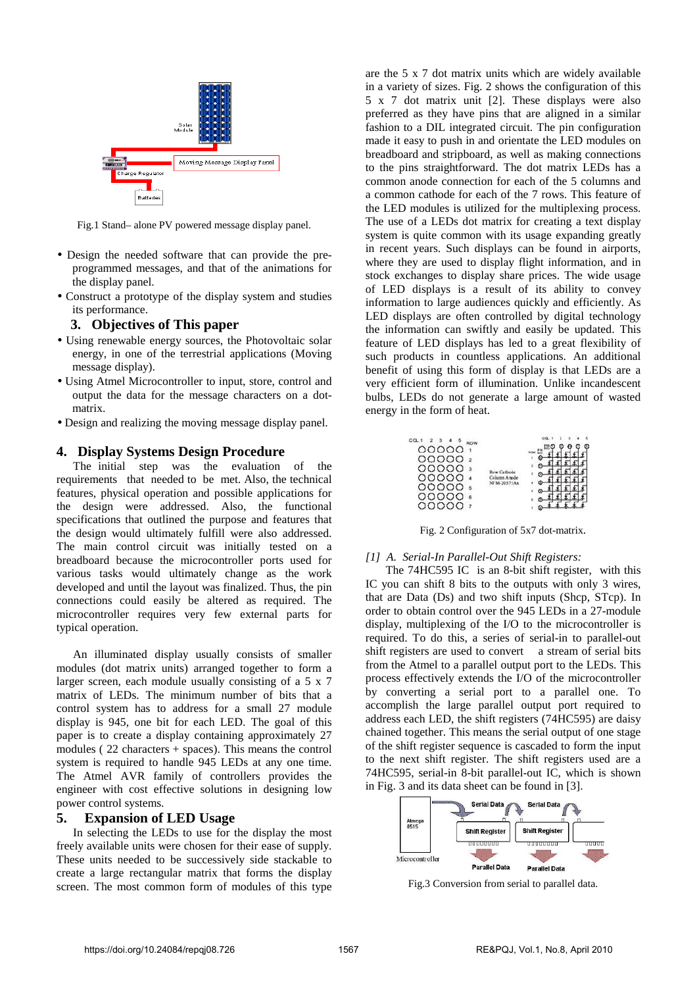

Fig.1 Stand– alone PV powered message display panel.

- Design the needed software that can provide the preprogrammed messages, and that of the animations for the display panel.
- Construct a prototype of the display system and studies its performance.

# **3. Objectives of This paper**

- Using renewable energy sources, the Photovoltaic solar energy, in one of the terrestrial applications (Moving message display).
- Using Atmel Microcontroller to input, store, control and output the data for the message characters on a dotmatrix.
- Design and realizing the moving message display panel.

# **4. Display Systems Design Procedure**

 The initial step was the evaluation of the requirements that needed to be met. Also, the technical features, physical operation and possible applications for the design were addressed. Also, the functional specifications that outlined the purpose and features that the design would ultimately fulfill were also addressed. The main control circuit was initially tested on a breadboard because the microcontroller ports used for various tasks would ultimately change as the work developed and until the layout was finalized. Thus, the pin connections could easily be altered as required. The microcontroller requires very few external parts for typical operation.

 An illuminated display usually consists of smaller modules (dot matrix units) arranged together to form a larger screen, each module usually consisting of a 5 x 7 matrix of LEDs. The minimum number of bits that a control system has to address for a small 27 module display is 945, one bit for each LED. The goal of this paper is to create a display containing approximately 27 modules ( 22 characters + spaces). This means the control system is required to handle 945 LEDs at any one time. The Atmel AVR family of controllers provides the engineer with cost effective solutions in designing low power control systems.

#### **5. Expansion of LED Usage**

 In selecting the LEDs to use for the display the most freely available units were chosen for their ease of supply. These units needed to be successively side stackable to create a large rectangular matrix that forms the display screen. The most common form of modules of this type

are the 5 x 7 dot matrix units which are widely available in a variety of sizes. Fig. 2 shows the configuration of this 5 x 7 dot matrix unit [2]. These displays were also preferred as they have pins that are aligned in a similar fashion to a DIL integrated circuit. The pin configuration made it easy to push in and orientate the LED modules on breadboard and stripboard, as well as making connections to the pins straightforward. The dot matrix LEDs has a common anode connection for each of the 5 columns and a common cathode for each of the 7 rows. This feature of the LED modules is utilized for the multiplexing process. The use of a LEDs dot matrix for creating a text display system is quite common with its usage expanding greatly in recent years. Such displays can be found in airports, where they are used to display flight information, and in stock exchanges to display share prices. The wide usage of LED displays is a result of its ability to convey information to large audiences quickly and efficiently. As LED displays are often controlled by digital technology the information can swiftly and easily be updated. This feature of LED displays has led to a great flexibility of such products in countless applications. An additional benefit of using this form of display is that LEDs are a very efficient form of illumination. Unlike incandescent bulbs, LEDs do not generate a large amount of wasted energy in the form of heat.

| 00000: |  |  |  |
|--------|--|--|--|
| 00000: |  |  |  |
| 00000  |  |  |  |
| 00000. |  |  |  |
| 00000  |  |  |  |
| 00000  |  |  |  |
| 00000: |  |  |  |

Fig. 2 Configuration of 5x7 dot-matrix.

# *[1] A. Serial-In Parallel-Out Shift Registers:*

 The 74HC595 IC is an 8-bit shift register, with this IC you can shift 8 bits to the outputs with only 3 wires, that are Data (Ds) and two shift inputs (Shcp, STcp). In order to obtain control over the 945 LEDs in a 27-module display, multiplexing of the I/O to the microcontroller is required. To do this, a series of serial-in to parallel-out shift registers are used to convert a stream of serial bits from the Atmel to a parallel output port to the LEDs. This process effectively extends the I/O of the microcontroller by converting a serial port to a parallel one. To accomplish the large parallel output port required to address each LED, the shift registers (74HC595) are daisy chained together. This means the serial output of one stage of the shift register sequence is cascaded to form the input to the next shift register. The shift registers used are a 74HC595, serial-in 8-bit parallel-out IC, which is shown in Fig. 3 and its data sheet can be found in [3].



Fig.3 Conversion from serial to parallel data.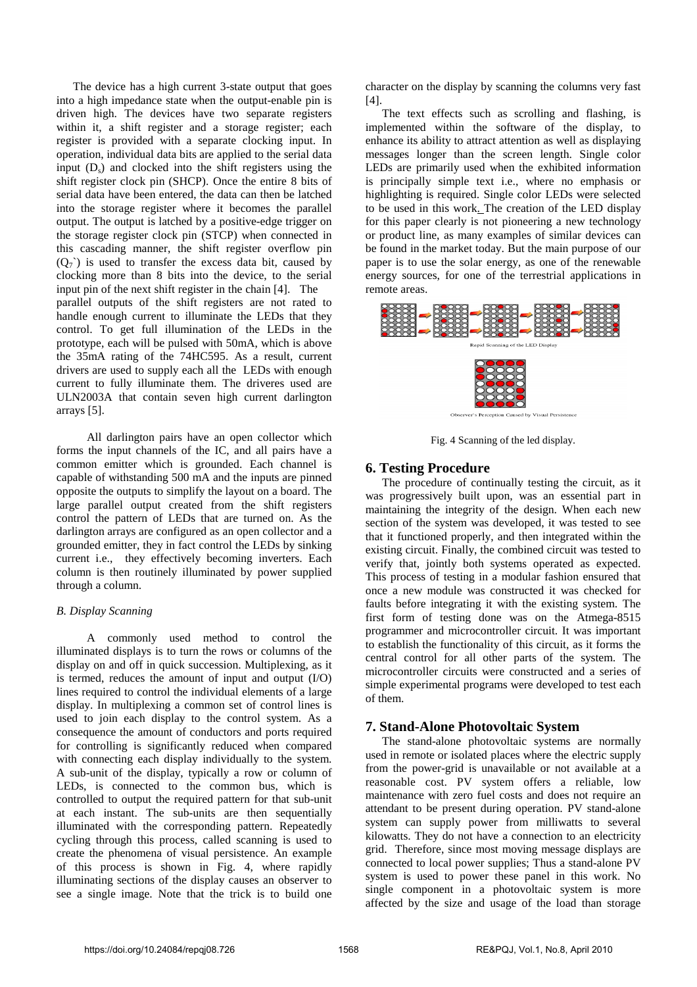The device has a high current 3-state output that goes into a high impedance state when the output-enable pin is driven high. The devices have two separate registers within it, a shift register and a storage register; each register is provided with a separate clocking input. In operation, individual data bits are applied to the serial data input  $(D<sub>s</sub>)$  and clocked into the shift registers using the shift register clock pin (SHCP). Once the entire 8 bits of serial data have been entered, the data can then be latched into the storage register where it becomes the parallel output. The output is latched by a positive-edge trigger on the storage register clock pin (STCP) when connected in this cascading manner, the shift register overflow pin  $(Q_7^{\sim})$  is used to transfer the excess data bit, caused by clocking more than 8 bits into the device, to the serial input pin of the next shift register in the chain [4]. The parallel outputs of the shift registers are not rated to handle enough current to illuminate the LEDs that they control. To get full illumination of the LEDs in the prototype, each will be pulsed with 50mA, which is above the 35mA rating of the 74HC595. As a result, current drivers are used to supply each all the LEDs with enough current to fully illuminate them. The driveres used are ULN2003A that contain seven high current darlington arrays [5].

 All darlington pairs have an open collector which forms the input channels of the IC, and all pairs have a common emitter which is grounded. Each channel is capable of withstanding 500 mA and the inputs are pinned opposite the outputs to simplify the layout on a board. The large parallel output created from the shift registers control the pattern of LEDs that are turned on. As the darlington arrays are configured as an open collector and a grounded emitter, they in fact control the LEDs by sinking current i.e., they effectively becoming inverters. Each column is then routinely illuminated by power supplied through a column.

#### *B. Display Scanning*

A commonly used method to control the illuminated displays is to turn the rows or columns of the display on and off in quick succession. Multiplexing, as it is termed, reduces the amount of input and output  $(I/O)$ lines required to control the individual elements of a large display. In multiplexing a common set of control lines is used to join each display to the control system. As a consequence the amount of conductors and ports required for controlling is significantly reduced when compared with connecting each display individually to the system. A sub-unit of the display, typically a row or column of LEDs, is connected to the common bus, which is controlled to output the required pattern for that sub-unit at each instant. The sub-units are then sequentially illuminated with the corresponding pattern. Repeatedly cycling through this process, called scanning is used to create the phenomena of visual persistence. An example of this process is shown in Fig. 4, where rapidly illuminating sections of the display causes an observer to see a single image. Note that the trick is to build one character on the display by scanning the columns very fast [4].

The text effects such as scrolling and flashing, is implemented within the software of the display, to enhance its ability to attract attention as well as displaying messages longer than the screen length. Single color LEDs are primarily used when the exhibited information is principally simple text i.e., where no emphasis or highlighting is required. Single color LEDs were selected to be used in this work. The creation of the LED display for this paper clearly is not pioneering a new technology or product line, as many examples of similar devices can be found in the market today. But the main purpose of our paper is to use the solar energy, as one of the renewable energy sources, for one of the terrestrial applications in remote areas.



Fig. 4 Scanning of the led display.

# **6. Testing Procedure**

 The procedure of continually testing the circuit, as it was progressively built upon, was an essential part in maintaining the integrity of the design. When each new section of the system was developed, it was tested to see that it functioned properly, and then integrated within the existing circuit. Finally, the combined circuit was tested to verify that, jointly both systems operated as expected. This process of testing in a modular fashion ensured that once a new module was constructed it was checked for faults before integrating it with the existing system. The first form of testing done was on the Atmega-8515 programmer and microcontroller circuit. It was important to establish the functionality of this circuit, as it forms the central control for all other parts of the system. The microcontroller circuits were constructed and a series of simple experimental programs were developed to test each of them.

# **7. Stand-Alone Photovoltaic System**

The stand-alone photovoltaic systems are normally used in remote or isolated places where the electric supply from the power-grid is unavailable or not available at a reasonable cost. PV system offers a reliable, low maintenance with zero fuel costs and does not require an attendant to be present during operation. PV stand-alone system can supply power from milliwatts to several kilowatts. They do not have a connection to an electricity grid. Therefore, since most moving message displays are connected to local power supplies; Thus a stand-alone PV system is used to power these panel in this work. No single component in a photovoltaic system is more affected by the size and usage of the load than storage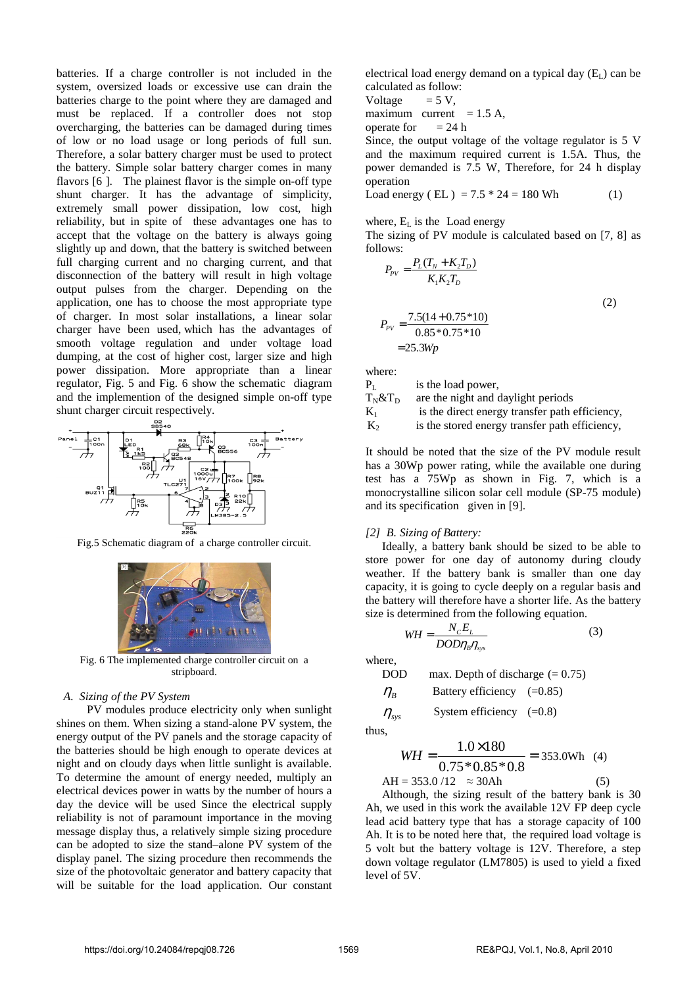batteries. If a charge controller is not included in the system, oversized loads or excessive use can drain the batteries charge to the point where they are damaged and must be replaced. If a controller does not stop overcharging, the batteries can be damaged during times of low or no load usage or long periods of full sun. Therefore, a solar battery charger must be used to protect the battery. Simple solar battery charger comes in many flavors [6 ]. The plainest flavor is the simple on-off type shunt charger. It has the advantage of simplicity, extremely small power dissipation, low cost, high reliability, but in spite of these advantages one has to accept that the voltage on the battery is always going slightly up and down, that the battery is switched between full charging current and no charging current, and that disconnection of the battery will result in high voltage output pulses from the charger. Depending on the application, one has to choose the most appropriate type of charger. In most solar installations, a linear solar charger have been used, which has the advantages of smooth voltage regulation and under voltage load dumping, at the cost of higher cost, larger size and high power dissipation. More appropriate than a linear regulator, Fig. 5 and Fig. 6 show the schematic diagram and the implemention of the designed simple on-off type shunt charger circuit respectively.



Fig.5 Schematic diagram of a charge controller circuit.



Fig. 6 The implemented charge controller circuit on a stripboard.

#### *A. Sizing of the PV System*

 PV modules produce electricity only when sunlight shines on them. When sizing a stand-alone PV system, the energy output of the PV panels and the storage capacity of the batteries should be high enough to operate devices at night and on cloudy days when little sunlight is available. To determine the amount of energy needed, multiply an electrical devices power in watts by the number of hours a day the device will be used Since the electrical supply reliability is not of paramount importance in the moving message display thus, a relatively simple sizing procedure can be adopted to size the stand–alone PV system of the display panel. The sizing procedure then recommends the size of the photovoltaic generator and battery capacity that will be suitable for the load application. Our constant electrical load energy demand on a typical day (E<sub>L</sub>) can be calculated as follow:

Voltage  $= 5 V$ , maximum current  $= 1.5$  A,

operate for  $= 24$  h

Since, the output voltage of the voltage regulator is 5 V and the maximum required current is 1.5A. Thus, the power demanded is 7.5 W, Therefore, for 24 h display operation

$$
Load energy (EL) = 7.5 * 24 = 180 Wh
$$
 (1)

where,  $E<sub>L</sub>$  is the Load energy

The sizing of PV module is calculated based on [7, 8] as follows:

$$
P_{PV} = \frac{P_L(T_N + K_2 T_D)}{K_1 K_2 T_D}
$$
  
\n
$$
P_{PV} = \frac{7.5(14 + 0.75 * 10)}{0.85 * 0.75 * 10}
$$
  
\n= 25.3Wp (2)

where:

 $P_{L}$  is the load power,<br>T<sub>N</sub>&T<sub>D</sub> are the night and c are the night and daylight periods  $K_1$  is the direct energy transfer path efficiency,  $K<sub>2</sub>$  is the stored energy transfer path efficiency,

It should be noted that the size of the PV module result has a 30Wp power rating, while the available one during test has a 75Wp as shown in Fig. 7, which is a monocrystalline silicon solar cell module (SP-75 module) and its specification given in [9].

### *[2] B. Sizing of Battery:*

 Ideally, a battery bank should be sized to be able to store power for one day of autonomy during cloudy weather. If the battery bank is smaller than one day capacity, it is going to cycle deeply on a regular basis and the battery will therefore have a shorter life. As the battery size is determined from the following equation.

$$
WH = \frac{N_c E_L}{DOD \eta_B \eta_{sys}} \tag{3}
$$

where,

DOD max. Depth of discharge  $(= 0.75)$ 

$$
\eta_B
$$
 Battery efficiency (=0.85)

$$
\eta_{\text{sys}} \qquad \text{System efficiency} \quad (=0.8)
$$

thus,

$$
WH = \frac{1.0 \times 180}{0.75 * 0.85 * 0.8} = 353.0 \text{Wh} \quad (4)
$$
  
AH = 353.0 / 12 = 30Ah (5)

 Although, the sizing result of the battery bank is 30 Ah, we used in this work the available 12V FP deep cycle lead acid battery type that has a storage capacity of 100 Ah. It is to be noted here that, the required load voltage is 5 volt but the battery voltage is 12V. Therefore, a step down voltage regulator (LM7805) is used to yield a fixed level of 5V.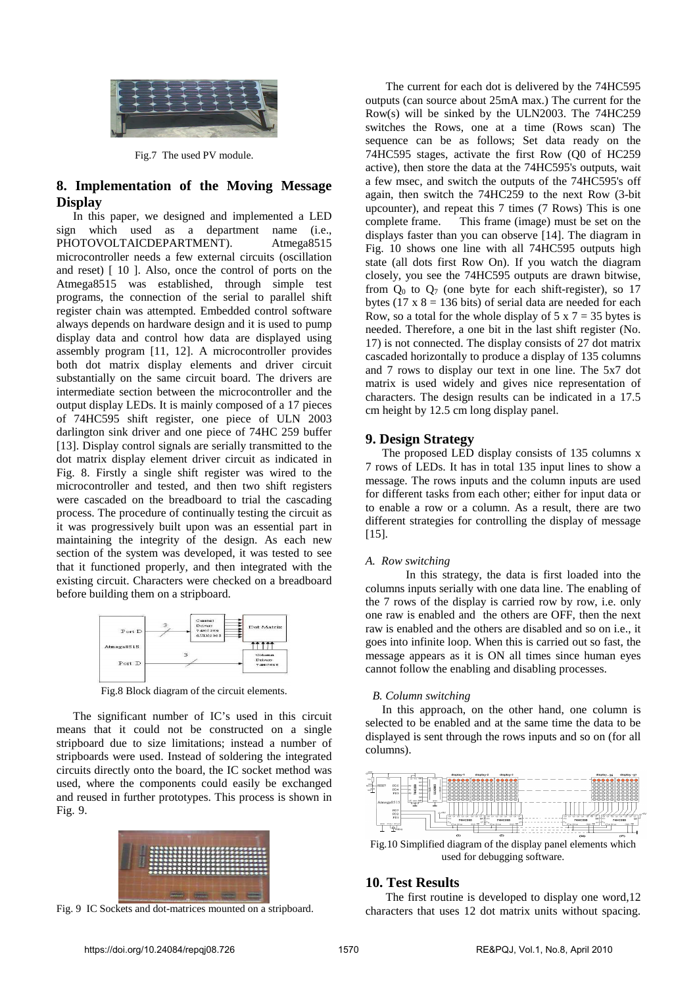

Fig.7 The used PV module.

# **8. Implementation of the Moving Message Display**

In this paper, we designed and implemented a LED sign which used as a department name (i.e., PHOTOVOLTAICDEPARTMENT). Atmega8515 microcontroller needs a few external circuits (oscillation and reset) [ 10 ]. Also, once the control of ports on the Atmega8515 was established, through simple test programs, the connection of the serial to parallel shift register chain was attempted. Embedded control software always depends on hardware design and it is used to pump display data and control how data are displayed using assembly program [11, 12]. A microcontroller provides both dot matrix display elements and driver circuit substantially on the same circuit board. The drivers are intermediate section between the microcontroller and the output display LEDs. It is mainly composed of a 17 pieces of 74HC595 shift register, one piece of ULN 2003 darlington sink driver and one piece of 74HC 259 buffer [13]. Display control signals are serially transmitted to the dot matrix display element driver circuit as indicated in Fig. 8. Firstly a single shift register was wired to the microcontroller and tested, and then two shift registers were cascaded on the breadboard to trial the cascading process. The procedure of continually testing the circuit as it was progressively built upon was an essential part in maintaining the integrity of the design. As each new section of the system was developed, it was tested to see that it functioned properly, and then integrated with the existing circuit. Characters were checked on a breadboard before building them on a stripboard.



Fig.8 Block diagram of the circuit elements.

 The significant number of IC's used in this circuit means that it could not be constructed on a single stripboard due to size limitations; instead a number of stripboards were used. Instead of soldering the integrated circuits directly onto the board, the IC socket method was used, where the components could easily be exchanged and reused in further prototypes. This process is shown in Fig. 9.



Fig. 9 IC Sockets and dot-matrices mounted on a stripboard.

 The current for each dot is delivered by the 74HC595 outputs (can source about 25mA max.) The current for the Row(s) will be sinked by the ULN2003. The 74HC259 switches the Rows, one at a time (Rows scan) The sequence can be as follows; Set data ready on the 74HC595 stages, activate the first Row (Q0 of HC259 active), then store the data at the 74HC595's outputs, wait a few msec, and switch the outputs of the 74HC595's off again, then switch the 74HC259 to the next Row (3-bit upcounter), and repeat this 7 times (7 Rows) This is one complete frame. This frame (image) must be set on the displays faster than you can observe [14]. The diagram in Fig. 10 shows one line with all 74HC595 outputs high state (all dots first Row On). If you watch the diagram closely, you see the 74HC595 outputs are drawn bitwise, from  $Q_0$  to  $Q_7$  (one byte for each shift-register), so 17 bytes (17 x  $8 = 136$  bits) of serial data are needed for each Row, so a total for the whole display of  $5 \times 7 = 35$  bytes is needed. Therefore, a one bit in the last shift register (No. 17) is not connected. The display consists of 27 dot matrix cascaded horizontally to produce a display of 135 columns and 7 rows to display our text in one line. The 5x7 dot matrix is used widely and gives nice representation of characters. The design results can be indicated in a 17.5 cm height by 12.5 cm long display panel.

# **9. Design Strategy**

 The proposed LED display consists of 135 columns x 7 rows of LEDs. It has in total 135 input lines to show a message. The rows inputs and the column inputs are used for different tasks from each other; either for input data or to enable a row or a column. As a result, there are two different strategies for controlling the display of message [15].

# *A. Row switching*

 In this strategy, the data is first loaded into the columns inputs serially with one data line. The enabling of the 7 rows of the display is carried row by row, i.e. only one raw is enabled and the others are OFF, then the next raw is enabled and the others are disabled and so on i.e., it goes into infinite loop. When this is carried out so fast, the message appears as it is ON all times since human eyes cannot follow the enabling and disabling processes.

# *B. Column switching*

 In this approach, on the other hand, one column is selected to be enabled and at the same time the data to be displayed is sent through the rows inputs and so on (for all columns).



Fig.10 Simplified diagram of the display panel elements which used for debugging software.

# **10. Test Results**

 The first routine is developed to display one word,12 characters that uses 12 dot matrix units without spacing.